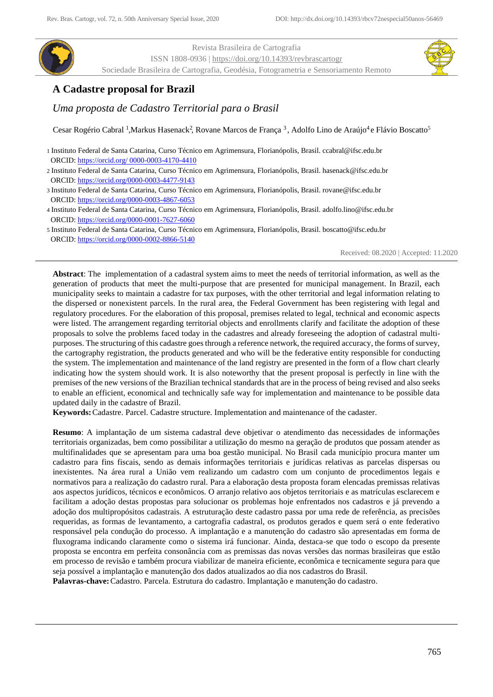

Revista Brasileira de Cartografia ISSN 1808-0936 [| https://doi.org/10.14393/revbrascartogr](https://doi.org/10.14393/revbrascartogr) Sociedade Brasileira de Cartografia, Geodésia, Fotogrametria e Sensoriamento Remoto



# **A Cadastre proposal for Brazil**

*Uma proposta de Cadastro Territorial para o Brasil*

Cesar Rogério Cabral<sup>1</sup>, Markus Hasenack<sup>2</sup>, Rovane Marcos de França<sup>3</sup>, Adolfo Lino de Araújo<sup>4</sup>e Flávio Boscatto<sup>5</sup>

1 Instituto Federal de Santa Catarina, Curso Técnico em Agrimensura, Florianópolis, Brasil. ccabral@ifsc.edu.br ORCID: [https://orcid.org/ 0000-0003-4170-4410](https://orcid.org/%200000-0003-4170-4410)

- 2 Instituto Federal de Santa Catarina, Curso Técnico em Agrimensura, Florianópolis, Brasil. hasenack@ifsc.edu.br ORCID:<https://orcid.org/0000-0003-4477-9143>
- 3 Instituto Federal de Santa Catarina, Curso Técnico em Agrimensura, Florianópolis, Brasil. rovane@ifsc.edu.br ORCID:<https://orcid.org/0000-0003-4867-6053>
- 4 Instituto Federal de Santa Catarina, Curso Técnico em Agrimensura, Florianópolis, Brasil. adolfo.lino@ifsc.edu.br ORCID:<https://orcid.org/0000-0001-7627-6060>
- 5 Instituto Federal de Santa Catarina, Curso Técnico em Agrimensura, Florianópolis, Brasil. boscatto@ifsc.edu.br ORCID: <https://orcid.org/0000-0002-8866-5140>

Received: 08.2020 | Accepted: 11.2020

**Abstract**: The implementation of a cadastral system aims to meet the needs of territorial information, as well as the generation of products that meet the multi-purpose that are presented for municipal management. In Brazil, each municipality seeks to maintain a cadastre for tax purposes, with the other territorial and legal information relating to the dispersed or nonexistent parcels. In the rural area, the Federal Government has been registering with legal and regulatory procedures. For the elaboration of this proposal, premises related to legal, technical and economic aspects were listed. The arrangement regarding territorial objects and enrollments clarify and facilitate the adoption of these proposals to solve the problems faced today in the cadastres and already foreseeing the adoption of cadastral multipurposes. The structuring of this cadastre goes through a reference network, the required accuracy, the forms of survey, the cartography registration, the products generated and who will be the federative entity responsible for conducting the system. The implementation and maintenance of the land registry are presented in the form of a flow chart clearly indicating how the system should work. It is also noteworthy that the present proposal is perfectly in line with the premises of the new versions of the Brazilian technical standards that are in the process of being revised and also seeks to enable an efficient, economical and technically safe way for implementation and maintenance to be possible data updated daily in the cadastre of Brazil.

**Keywords:**Cadastre. Parcel. Cadastre structure. Implementation and maintenance of the cadaster.

**Resumo**: A implantação de um sistema cadastral deve objetivar o atendimento das necessidades de informações territoriais organizadas, bem como possibilitar a utilização do mesmo na geração de produtos que possam atender as multifinalidades que se apresentam para uma boa gestão municipal. No Brasil cada município procura manter um cadastro para fins fiscais, sendo as demais informações territoriais e jurídicas relativas as parcelas dispersas ou inexistentes. Na área rural a União vem realizando um cadastro com um conjunto de procedimentos legais e normativos para a realização do cadastro rural. Para a elaboração desta proposta foram elencadas premissas relativas aos aspectos jurídicos, técnicos e econômicos. O arranjo relativo aos objetos territoriais e as matrículas esclarecem e facilitam a adoção destas propostas para solucionar os problemas hoje enfrentados nos cadastros e já prevendo a adoção dos multipropósitos cadastrais. A estruturação deste cadastro passa por uma rede de referência, as precisões requeridas, as formas de levantamento, a cartografia cadastral, os produtos gerados e quem será o ente federativo responsável pela condução do processo. A implantação e a manutenção do cadastro são apresentadas em forma de fluxograma indicando claramente como o sistema irá funcionar. Ainda, destaca-se que todo o escopo da presente proposta se encontra em perfeita consonância com as premissas das novas versões das normas brasileiras que estão em processo de revisão e também procura viabilizar de maneira eficiente, econômica e tecnicamente segura para que seja possível a implantação e manutenção dos dados atualizados ao dia nos cadastros do Brasil.

**Palavras-chave:**Cadastro. Parcela. Estrutura do cadastro. Implantação e manutenção do cadastro.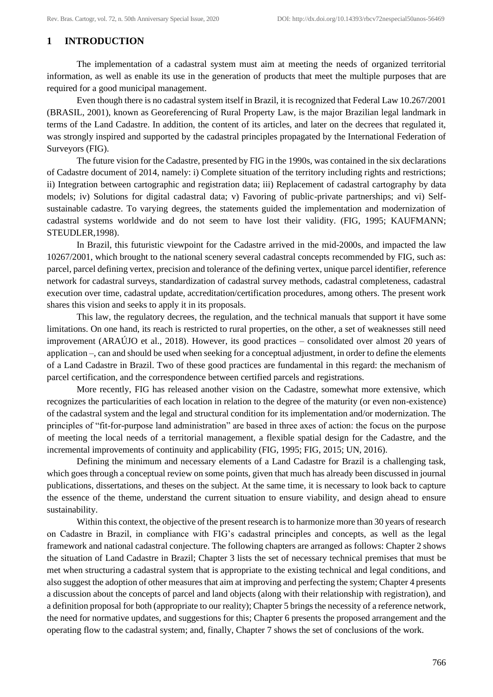# **1 INTRODUCTION**

The implementation of a cadastral system must aim at meeting the needs of organized territorial information, as well as enable its use in the generation of products that meet the multiple purposes that are required for a good municipal management.

Even though there is no cadastral system itself in Brazil, it is recognized that Federal Law 10.267/2001 (BRASIL, 2001), known as Georeferencing of Rural Property Law, is the major Brazilian legal landmark in terms of the Land Cadastre. In addition, the content of its articles, and later on the decrees that regulated it, was strongly inspired and supported by the cadastral principles propagated by the International Federation of Surveyors (FIG).

The future vision for the Cadastre, presented by FIG in the 1990s, was contained in the six declarations of Cadastre document of 2014, namely: i) Complete situation of the territory including rights and restrictions; ii) Integration between cartographic and registration data; iii) Replacement of cadastral cartography by data models; iv) Solutions for digital cadastral data; v) Favoring of public-private partnerships; and vi) Selfsustainable cadastre. To varying degrees, the statements guided the implementation and modernization of cadastral systems worldwide and do not seem to have lost their validity. (FIG, 1995; KAUFMANN; STEUDLER,1998).

In Brazil, this futuristic viewpoint for the Cadastre arrived in the mid-2000s, and impacted the law 10267/2001, which brought to the national scenery several cadastral concepts recommended by FIG, such as: parcel, parcel defining vertex, precision and tolerance of the defining vertex, unique parcel identifier, reference network for cadastral surveys, standardization of cadastral survey methods, cadastral completeness, cadastral execution over time, cadastral update, accreditation/certification procedures, among others. The present work shares this vision and seeks to apply it in its proposals.

This law, the regulatory decrees, the regulation, and the technical manuals that support it have some limitations. On one hand, its reach is restricted to rural properties, on the other, a set of weaknesses still need improvement (ARAÚJO et al., 2018). However, its good practices – consolidated over almost 20 years of application –, can and should be used when seeking for a conceptual adjustment, in order to define the elements of a Land Cadastre in Brazil. Two of these good practices are fundamental in this regard: the mechanism of parcel certification, and the correspondence between certified parcels and registrations.

More recently, FIG has released another vision on the Cadastre, somewhat more extensive, which recognizes the particularities of each location in relation to the degree of the maturity (or even non-existence) of the cadastral system and the legal and structural condition for its implementation and/or modernization. The principles of "fit-for-purpose land administration" are based in three axes of action: the focus on the purpose of meeting the local needs of a territorial management, a flexible spatial design for the Cadastre, and the incremental improvements of continuity and applicability (FIG, 1995; FIG, 2015; UN, 2016).

Defining the minimum and necessary elements of a Land Cadastre for Brazil is a challenging task, which goes through a conceptual review on some points, given that much has already been discussed in journal publications, dissertations, and theses on the subject. At the same time, it is necessary to look back to capture the essence of the theme, understand the current situation to ensure viability, and design ahead to ensure sustainability.

Within this context, the objective of the present research is to harmonize more than 30 years of research on Cadastre in Brazil, in compliance with FIG's cadastral principles and concepts, as well as the legal framework and national cadastral conjecture. The following chapters are arranged as follows: Chapter 2 shows the situation of Land Cadastre in Brazil; Chapter 3 lists the set of necessary technical premises that must be met when structuring a cadastral system that is appropriate to the existing technical and legal conditions, and also suggest the adoption of other measures that aim at improving and perfecting the system; Chapter 4 presents a discussion about the concepts of parcel and land objects (along with their relationship with registration), and a definition proposal for both (appropriate to our reality); Chapter 5 brings the necessity of a reference network, the need for normative updates, and suggestions for this; Chapter 6 presents the proposed arrangement and the operating flow to the cadastral system; and, finally, Chapter 7 shows the set of conclusions of the work.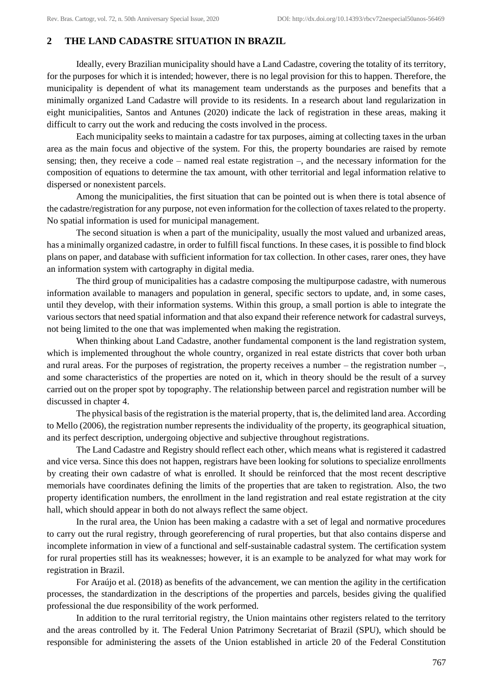# **2 THE LAND CADASTRE SITUATION IN BRAZIL**

Ideally, every Brazilian municipality should have a Land Cadastre, covering the totality of its territory, for the purposes for which it is intended; however, there is no legal provision for this to happen. Therefore, the municipality is dependent of what its management team understands as the purposes and benefits that a minimally organized Land Cadastre will provide to its residents. In a research about land regularization in eight municipalities, Santos and Antunes (2020) indicate the lack of registration in these areas, making it difficult to carry out the work and reducing the costs involved in the process.

Each municipality seeks to maintain a cadastre for tax purposes, aiming at collecting taxes in the urban area as the main focus and objective of the system. For this, the property boundaries are raised by remote sensing; then, they receive a code – named real estate registration –, and the necessary information for the composition of equations to determine the tax amount, with other territorial and legal information relative to dispersed or nonexistent parcels.

Among the municipalities, the first situation that can be pointed out is when there is total absence of the cadastre/registration for any purpose, not even information for the collection of taxes related to the property. No spatial information is used for municipal management.

The second situation is when a part of the municipality, usually the most valued and urbanized areas, has a minimally organized cadastre, in order to fulfill fiscal functions. In these cases, it is possible to find block plans on paper, and database with sufficient information for tax collection. In other cases, rarer ones, they have an information system with cartography in digital media.

The third group of municipalities has a cadastre composing the multipurpose cadastre, with numerous information available to managers and population in general, specific sectors to update, and, in some cases, until they develop, with their information systems. Within this group, a small portion is able to integrate the various sectors that need spatial information and that also expand their reference network for cadastral surveys, not being limited to the one that was implemented when making the registration.

When thinking about Land Cadastre, another fundamental component is the land registration system, which is implemented throughout the whole country, organized in real estate districts that cover both urban and rural areas. For the purposes of registration, the property receives a number – the registration number –, and some characteristics of the properties are noted on it, which in theory should be the result of a survey carried out on the proper spot by topography. The relationship between parcel and registration number will be discussed in chapter 4.

The physical basis of the registration is the material property, that is, the delimited land area. According to Mello (2006), the registration number represents the individuality of the property, its geographical situation, and its perfect description, undergoing objective and subjective throughout registrations.

The Land Cadastre and Registry should reflect each other, which means what is registered it cadastred and vice versa. Since this does not happen, registrars have been looking for solutions to specialize enrollments by creating their own cadastre of what is enrolled. It should be reinforced that the most recent descriptive memorials have coordinates defining the limits of the properties that are taken to registration. Also, the two property identification numbers, the enrollment in the land registration and real estate registration at the city hall, which should appear in both do not always reflect the same object.

In the rural area, the Union has been making a cadastre with a set of legal and normative procedures to carry out the rural registry, through georeferencing of rural properties, but that also contains disperse and incomplete information in view of a functional and self-sustainable cadastral system. The certification system for rural properties still has its weaknesses; however, it is an example to be analyzed for what may work for registration in Brazil.

For Araújo et al. (2018) as benefits of the advancement, we can mention the agility in the certification processes, the standardization in the descriptions of the properties and parcels, besides giving the qualified professional the due responsibility of the work performed.

In addition to the rural territorial registry, the Union maintains other registers related to the territory and the areas controlled by it. The Federal Union Patrimony Secretariat of Brazil (SPU), which should be responsible for administering the assets of the Union established in article 20 of the Federal Constitution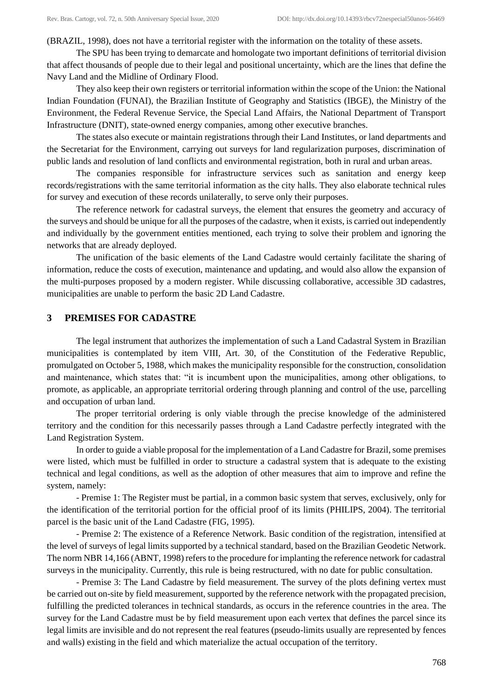(BRAZIL, 1998), does not have a territorial register with the information on the totality of these assets.

The SPU has been trying to demarcate and homologate two important definitions of territorial division that affect thousands of people due to their legal and positional uncertainty, which are the lines that define the Navy Land and the Midline of Ordinary Flood.

They also keep their own registers or territorial information within the scope of the Union: the National Indian Foundation (FUNAI), the Brazilian Institute of Geography and Statistics (IBGE), the Ministry of the Environment, the Federal Revenue Service, the Special Land Affairs, the National Department of Transport Infrastructure (DNIT), state-owned energy companies, among other executive branches.

The states also execute or maintain registrations through their Land Institutes, or land departments and the Secretariat for the Environment, carrying out surveys for land regularization purposes, discrimination of public lands and resolution of land conflicts and environmental registration, both in rural and urban areas.

The companies responsible for infrastructure services such as sanitation and energy keep records/registrations with the same territorial information as the city halls. They also elaborate technical rules for survey and execution of these records unilaterally, to serve only their purposes.

The reference network for cadastral surveys, the element that ensures the geometry and accuracy of the surveys and should be unique for all the purposes of the cadastre, when it exists, is carried out independently and individually by the government entities mentioned, each trying to solve their problem and ignoring the networks that are already deployed.

The unification of the basic elements of the Land Cadastre would certainly facilitate the sharing of information, reduce the costs of execution, maintenance and updating, and would also allow the expansion of the multi-purposes proposed by a modern register. While discussing collaborative, accessible 3D cadastres, municipalities are unable to perform the basic 2D Land Cadastre.

### **3 PREMISES FOR CADASTRE**

The legal instrument that authorizes the implementation of such a Land Cadastral System in Brazilian municipalities is contemplated by item VIII, Art. 30, of the Constitution of the Federative Republic, promulgated on October 5, 1988, which makes the municipality responsible for the construction, consolidation and maintenance, which states that: "it is incumbent upon the municipalities, among other obligations, to promote, as applicable, an appropriate territorial ordering through planning and control of the use, parcelling and occupation of urban land.

The proper territorial ordering is only viable through the precise knowledge of the administered territory and the condition for this necessarily passes through a Land Cadastre perfectly integrated with the Land Registration System.

In order to guide a viable proposal for the implementation of a Land Cadastre for Brazil, some premises were listed, which must be fulfilled in order to structure a cadastral system that is adequate to the existing technical and legal conditions, as well as the adoption of other measures that aim to improve and refine the system, namely:

- Premise 1: The Register must be partial, in a common basic system that serves, exclusively, only for the identification of the territorial portion for the official proof of its limits (PHILIPS, 2004). The territorial parcel is the basic unit of the Land Cadastre (FIG, 1995).

- Premise 2: The existence of a Reference Network. Basic condition of the registration, intensified at the level of surveys of legal limits supported by a technical standard, based on the Brazilian Geodetic Network. The norm NBR 14,166 (ABNT, 1998) refers to the procedure for implanting the reference network for cadastral surveys in the municipality. Currently, this rule is being restructured, with no date for public consultation.

- Premise 3: The Land Cadastre by field measurement. The survey of the plots defining vertex must be carried out on-site by field measurement, supported by the reference network with the propagated precision, fulfilling the predicted tolerances in technical standards, as occurs in the reference countries in the area. The survey for the Land Cadastre must be by field measurement upon each vertex that defines the parcel since its legal limits are invisible and do not represent the real features (pseudo-limits usually are represented by fences and walls) existing in the field and which materialize the actual occupation of the territory.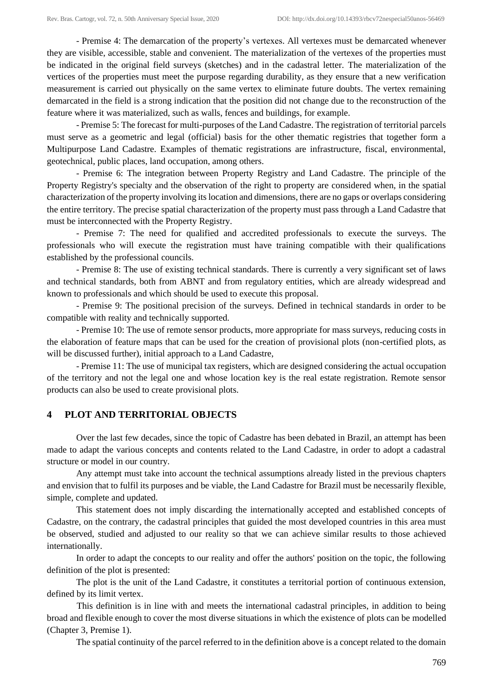- Premise 4: The demarcation of the property's vertexes. All vertexes must be demarcated whenever they are visible, accessible, stable and convenient. The materialization of the vertexes of the properties must be indicated in the original field surveys (sketches) and in the cadastral letter. The materialization of the vertices of the properties must meet the purpose regarding durability, as they ensure that a new verification measurement is carried out physically on the same vertex to eliminate future doubts. The vertex remaining demarcated in the field is a strong indication that the position did not change due to the reconstruction of the feature where it was materialized, such as walls, fences and buildings, for example.

- Premise 5: The forecast for multi-purposes of the Land Cadastre. The registration of territorial parcels must serve as a geometric and legal (official) basis for the other thematic registries that together form a Multipurpose Land Cadastre. Examples of thematic registrations are infrastructure, fiscal, environmental, geotechnical, public places, land occupation, among others.

- Premise 6: The integration between Property Registry and Land Cadastre. The principle of the Property Registry's specialty and the observation of the right to property are considered when, in the spatial characterization of the property involving its location and dimensions, there are no gaps or overlaps considering the entire territory. The precise spatial characterization of the property must pass through a Land Cadastre that must be interconnected with the Property Registry.

- Premise 7: The need for qualified and accredited professionals to execute the surveys. The professionals who will execute the registration must have training compatible with their qualifications established by the professional councils.

- Premise 8: The use of existing technical standards. There is currently a very significant set of laws and technical standards, both from ABNT and from regulatory entities, which are already widespread and known to professionals and which should be used to execute this proposal.

- Premise 9: The positional precision of the surveys. Defined in technical standards in order to be compatible with reality and technically supported.

- Premise 10: The use of remote sensor products, more appropriate for mass surveys, reducing costs in the elaboration of feature maps that can be used for the creation of provisional plots (non-certified plots, as will be discussed further), initial approach to a Land Cadastre,

- Premise 11: The use of municipal tax registers, which are designed considering the actual occupation of the territory and not the legal one and whose location key is the real estate registration. Remote sensor products can also be used to create provisional plots.

## **4 PLOT AND TERRITORIAL OBJECTS**

Over the last few decades, since the topic of Cadastre has been debated in Brazil, an attempt has been made to adapt the various concepts and contents related to the Land Cadastre, in order to adopt a cadastral structure or model in our country.

Any attempt must take into account the technical assumptions already listed in the previous chapters and envision that to fulfil its purposes and be viable, the Land Cadastre for Brazil must be necessarily flexible, simple, complete and updated.

This statement does not imply discarding the internationally accepted and established concepts of Cadastre, on the contrary, the cadastral principles that guided the most developed countries in this area must be observed, studied and adjusted to our reality so that we can achieve similar results to those achieved internationally.

In order to adapt the concepts to our reality and offer the authors' position on the topic, the following definition of the plot is presented:

The plot is the unit of the Land Cadastre, it constitutes a territorial portion of continuous extension, defined by its limit vertex.

This definition is in line with and meets the international cadastral principles, in addition to being broad and flexible enough to cover the most diverse situations in which the existence of plots can be modelled (Chapter 3, Premise 1).

The spatial continuity of the parcel referred to in the definition above is a concept related to the domain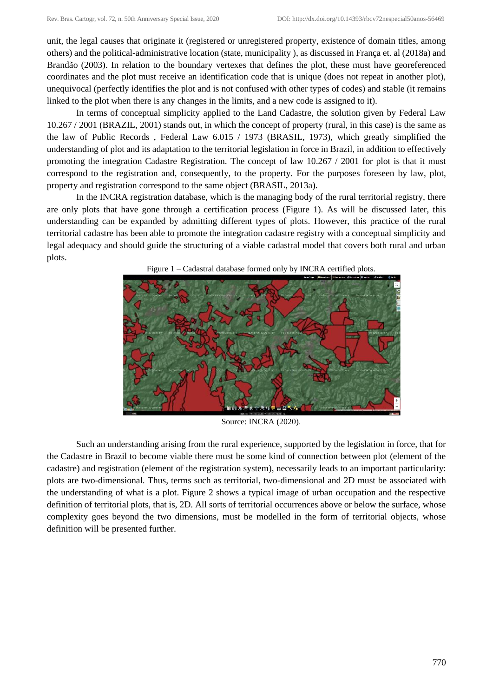unit, the legal causes that originate it (registered or unregistered property, existence of domain titles, among others) and the political-administrative location (state, municipality ), as discussed in França et. al (2018a) and Brandão (2003). In relation to the boundary vertexes that defines the plot, these must have georeferenced coordinates and the plot must receive an identification code that is unique (does not repeat in another plot), unequivocal (perfectly identifies the plot and is not confused with other types of codes) and stable (it remains linked to the plot when there is any changes in the limits, and a new code is assigned to it).

In terms of conceptual simplicity applied to the Land Cadastre, the solution given by Federal Law 10.267 / 2001 (BRAZIL, 2001) stands out, in which the concept of property (rural, in this case) is the same as the law of Public Records , Federal Law 6.015 / 1973 (BRASIL, 1973), which greatly simplified the understanding of plot and its adaptation to the territorial legislation in force in Brazil, in addition to effectively promoting the integration Cadastre Registration. The concept of law 10.267 / 2001 for plot is that it must correspond to the registration and, consequently, to the property. For the purposes foreseen by law, plot, property and registration correspond to the same object (BRASIL, 2013a).

In the INCRA registration database, which is the managing body of the rural territorial registry, there are only plots that have gone through a certification process (Figure 1). As will be discussed later, this understanding can be expanded by admitting different types of plots. However, this practice of the rural territorial cadastre has been able to promote the integration cadastre registry with a conceptual simplicity and legal adequacy and should guide the structuring of a viable cadastral model that covers both rural and urban plots.



Figure 1 – Cadastral database formed only by INCRA certified plots.

Source: INCRA (2020).

Such an understanding arising from the rural experience, supported by the legislation in force, that for the Cadastre in Brazil to become viable there must be some kind of connection between plot (element of the cadastre) and registration (element of the registration system), necessarily leads to an important particularity: plots are two-dimensional. Thus, terms such as territorial, two-dimensional and 2D must be associated with the understanding of what is a plot. Figure 2 shows a typical image of urban occupation and the respective definition of territorial plots, that is, 2D. All sorts of territorial occurrences above or below the surface, whose complexity goes beyond the two dimensions, must be modelled in the form of territorial objects, whose definition will be presented further.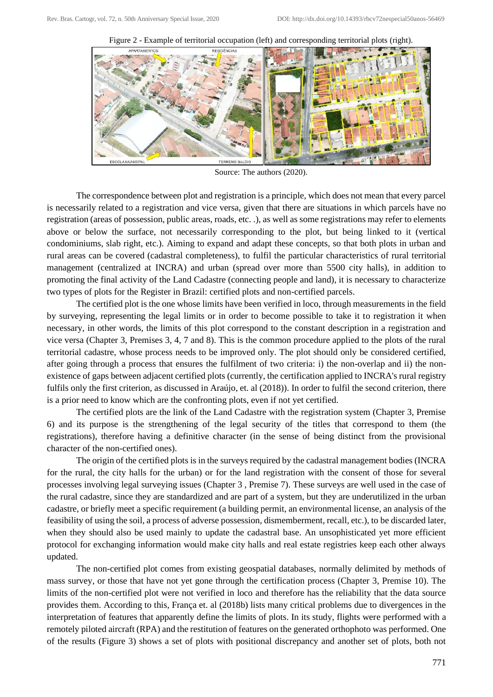Figure 2 - Example of territorial occupation (left) and corresponding territorial plots (right).



Source: The authors (2020).

The correspondence between plot and registration is a principle, which does not mean that every parcel is necessarily related to a registration and vice versa, given that there are situations in which parcels have no registration (areas of possession, public areas, roads, etc. .), as well as some registrations may refer to elements above or below the surface, not necessarily corresponding to the plot, but being linked to it (vertical condominiums, slab right, etc.). Aiming to expand and adapt these concepts, so that both plots in urban and rural areas can be covered (cadastral completeness), to fulfil the particular characteristics of rural territorial management (centralized at INCRA) and urban (spread over more than 5500 city halls), in addition to promoting the final activity of the Land Cadastre (connecting people and land), it is necessary to characterize two types of plots for the Register in Brazil: certified plots and non-certified parcels.

The certified plot is the one whose limits have been verified in loco, through measurements in the field by surveying, representing the legal limits or in order to become possible to take it to registration it when necessary, in other words, the limits of this plot correspond to the constant description in a registration and vice versa (Chapter 3, Premises 3, 4, 7 and 8). This is the common procedure applied to the plots of the rural territorial cadastre, whose process needs to be improved only. The plot should only be considered certified, after going through a process that ensures the fulfilment of two criteria: i) the non-overlap and ii) the nonexistence of gaps between adjacent certified plots (currently, the certification applied to INCRA's rural registry fulfils only the first criterion, as discussed in Araújo, et. al (2018)). In order to fulfil the second criterion, there is a prior need to know which are the confronting plots, even if not yet certified.

The certified plots are the link of the Land Cadastre with the registration system (Chapter 3, Premise 6) and its purpose is the strengthening of the legal security of the titles that correspond to them (the registrations), therefore having a definitive character (in the sense of being distinct from the provisional character of the non-certified ones).

The origin of the certified plots is in the surveys required by the cadastral management bodies (INCRA for the rural, the city halls for the urban) or for the land registration with the consent of those for several processes involving legal surveying issues (Chapter 3 , Premise 7). These surveys are well used in the case of the rural cadastre, since they are standardized and are part of a system, but they are underutilized in the urban cadastre, or briefly meet a specific requirement (a building permit, an environmental license, an analysis of the feasibility of using the soil, a process of adverse possession, dismemberment, recall, etc.), to be discarded later, when they should also be used mainly to update the cadastral base. An unsophisticated yet more efficient protocol for exchanging information would make city halls and real estate registries keep each other always updated.

The non-certified plot comes from existing geospatial databases, normally delimited by methods of mass survey, or those that have not yet gone through the certification process (Chapter 3, Premise 10). The limits of the non-certified plot were not verified in loco and therefore has the reliability that the data source provides them. According to this, França et. al (2018b) lists many critical problems due to divergences in the interpretation of features that apparently define the limits of plots. In its study, flights were performed with a remotely piloted aircraft (RPA) and the restitution of features on the generated orthophoto was performed. One of the results (Figure 3) shows a set of plots with positional discrepancy and another set of plots, both not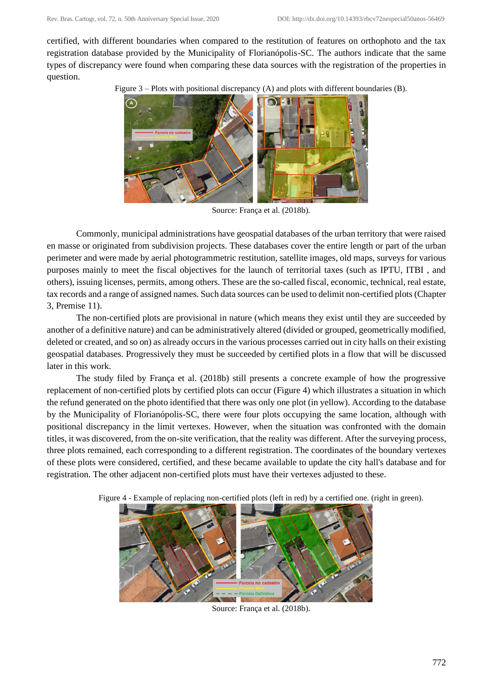certified, with different boundaries when compared to the restitution of features on orthophoto and the tax registration database provided by the Municipality of Florianópolis-SC. The authors indicate that the same types of discrepancy were found when comparing these data sources with the registration of the properties in question.

Figure 3 – Plots with positional discrepancy (A) and plots with different boundaries (B).



Source: França et al. (2018b).

Commonly, municipal administrations have geospatial databases of the urban territory that were raised en masse or originated from subdivision projects. These databases cover the entire length or part of the urban perimeter and were made by aerial photogrammetric restitution, satellite images, old maps, surveys for various purposes mainly to meet the fiscal objectives for the launch of territorial taxes (such as IPTU, ITBI , and others), issuing licenses, permits, among others. These are the so-called fiscal, economic, technical, real estate, tax records and a range of assigned names. Such data sources can be used to delimit non-certified plots (Chapter 3, Premise 11).

The non-certified plots are provisional in nature (which means they exist until they are succeeded by another of a definitive nature) and can be administratively altered (divided or grouped, geometrically modified, deleted or created, and so on) as already occurs in the various processes carried out in city halls on their existing geospatial databases. Progressively they must be succeeded by certified plots in a flow that will be discussed later in this work.

The study filed by França et al. (2018b) still presents a concrete example of how the progressive replacement of non-certified plots by certified plots can occur (Figure 4) which illustrates a situation in which the refund generated on the photo identified that there was only one plot (in yellow). According to the database by the Municipality of Florianópolis-SC, there were four plots occupying the same location, although with positional discrepancy in the limit vertexes. However, when the situation was confronted with the domain titles, it was discovered, from the on-site verification, that the reality was different. After the surveying process, three plots remained, each corresponding to a different registration. The coordinates of the boundary vertexes of these plots were considered, certified, and these became available to update the city hall's database and for registration. The other adjacent non-certified plots must have their vertexes adjusted to these.



Figure 4 - Example of replacing non-certified plots (left in red) by a certified one. (right in green).

Source: França et al. (2018b).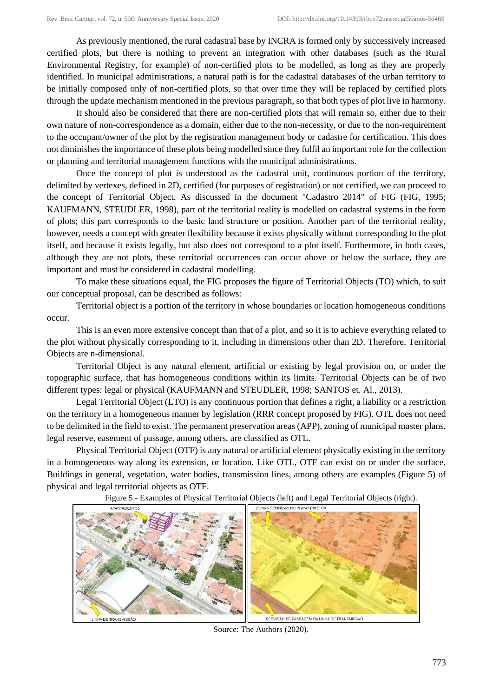As previously mentioned, the rural cadastral base by INCRA is formed only by successively increased certified plots, but there is nothing to prevent an integration with other databases (such as the Rural Environmental Registry, for example) of non-certified plots to be modelled, as long as they are properly identified. In municipal administrations, a natural path is for the cadastral databases of the urban territory to be initially composed only of non-certified plots, so that over time they will be replaced by certified plots through the update mechanism mentioned in the previous paragraph, so that both types of plot live in harmony.

It should also be considered that there are non-certified plots that will remain so, either due to their own nature of non-correspondence as a domain, either due to the non-necessity, or due to the non-requirement to the occupant/owner of the plot by the registration management body or cadastre for certification. This does not diminishes the importance of these plots being modelled since they fulfil an important role for the collection or planning and territorial management functions with the municipal administrations.

Once the concept of plot is understood as the cadastral unit, continuous portion of the territory, delimited by vertexes, defined in 2D, certified (for purposes of registration) or not certified, we can proceed to the concept of Territorial Object. As discussed in the document "Cadastro 2014" of FIG (FIG, 1995; KAUFMANN, STEUDLER, 1998), part of the territorial reality is modelled on cadastral systems in the form of plots; this part corresponds to the basic land structure or position. Another part of the territorial reality, however, needs a concept with greater flexibility because it exists physically without corresponding to the plot itself, and because it exists legally, but also does not correspond to a plot itself. Furthermore, in both cases, although they are not plots, these territorial occurrences can occur above or below the surface, they are important and must be considered in cadastral modelling.

To make these situations equal, the FIG proposes the figure of Territorial Objects (TO) which, to suit our conceptual proposal, can be described as follows:

Territorial object is a portion of the territory in whose boundaries or location homogeneous conditions occur.

This is an even more extensive concept than that of a plot, and so it is to achieve everything related to the plot without physically corresponding to it, including in dimensions other than 2D. Therefore, Territorial Objects are n-dimensional.

Territorial Object is any natural element, artificial or existing by legal provision on, or under the topographic surface, that has homogeneous conditions within its limits. Territorial Objects can be of two different types: legal or physical (KAUFMANN and STEUDLER, 1998; SANTOS et. Al., 2013).

Legal Territorial Object (LTO) is any continuous portion that defines a right, a liability or a restriction on the territory in a homogeneous manner by legislation (RRR concept proposed by FIG). OTL does not need to be delimited in the field to exist. The permanent preservation areas (APP), zoning of municipal master plans, legal reserve, easement of passage, among others, are classified as OTL.

Physical Territorial Object (OTF) is any natural or artificial element physically existing in the territory in a homogeneous way along its extension, or location. Like OTL, OTF can exist on or under the surface. Buildings in general, vegetation, water bodies, transmission lines, among others are examples (Figure 5) of physical and legal territorial objects as OTF.

Figure 5 - Examples of Physical Territorial Objects (left) and Legal Territorial Objects (right).



Source: The Authors (2020).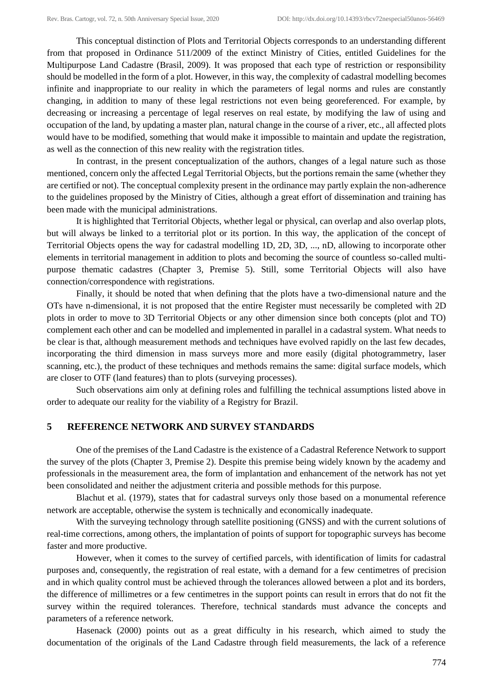This conceptual distinction of Plots and Territorial Objects corresponds to an understanding different from that proposed in Ordinance 511/2009 of the extinct Ministry of Cities, entitled Guidelines for the Multipurpose Land Cadastre (Brasil, 2009). It was proposed that each type of restriction or responsibility should be modelled in the form of a plot. However, in this way, the complexity of cadastral modelling becomes infinite and inappropriate to our reality in which the parameters of legal norms and rules are constantly changing, in addition to many of these legal restrictions not even being georeferenced. For example, by decreasing or increasing a percentage of legal reserves on real estate, by modifying the law of using and occupation of the land, by updating a master plan, natural change in the course of a river, etc., all affected plots would have to be modified, something that would make it impossible to maintain and update the registration, as well as the connection of this new reality with the registration titles.

In contrast, in the present conceptualization of the authors, changes of a legal nature such as those mentioned, concern only the affected Legal Territorial Objects, but the portions remain the same (whether they are certified or not). The conceptual complexity present in the ordinance may partly explain the non-adherence to the guidelines proposed by the Ministry of Cities, although a great effort of dissemination and training has been made with the municipal administrations.

It is highlighted that Territorial Objects, whether legal or physical, can overlap and also overlap plots, but will always be linked to a territorial plot or its portion. In this way, the application of the concept of Territorial Objects opens the way for cadastral modelling 1D, 2D, 3D, ..., nD, allowing to incorporate other elements in territorial management in addition to plots and becoming the source of countless so-called multipurpose thematic cadastres (Chapter 3, Premise 5). Still, some Territorial Objects will also have connection/correspondence with registrations.

Finally, it should be noted that when defining that the plots have a two-dimensional nature and the OTs have n-dimensional, it is not proposed that the entire Register must necessarily be completed with 2D plots in order to move to 3D Territorial Objects or any other dimension since both concepts (plot and TO) complement each other and can be modelled and implemented in parallel in a cadastral system. What needs to be clear is that, although measurement methods and techniques have evolved rapidly on the last few decades, incorporating the third dimension in mass surveys more and more easily (digital photogrammetry, laser scanning, etc.), the product of these techniques and methods remains the same: digital surface models, which are closer to OTF (land features) than to plots (surveying processes).

Such observations aim only at defining roles and fulfilling the technical assumptions listed above in order to adequate our reality for the viability of a Registry for Brazil.

# **5 REFERENCE NETWORK AND SURVEY STANDARDS**

One of the premises of the Land Cadastre is the existence of a Cadastral Reference Network to support the survey of the plots (Chapter 3, Premise 2). Despite this premise being widely known by the academy and professionals in the measurement area, the form of implantation and enhancement of the network has not yet been consolidated and neither the adjustment criteria and possible methods for this purpose.

Blachut et al. (1979), states that for cadastral surveys only those based on a monumental reference network are acceptable, otherwise the system is technically and economically inadequate.

With the surveying technology through satellite positioning (GNSS) and with the current solutions of real-time corrections, among others, the implantation of points of support for topographic surveys has become faster and more productive.

However, when it comes to the survey of certified parcels, with identification of limits for cadastral purposes and, consequently, the registration of real estate, with a demand for a few centimetres of precision and in which quality control must be achieved through the tolerances allowed between a plot and its borders, the difference of millimetres or a few centimetres in the support points can result in errors that do not fit the survey within the required tolerances. Therefore, technical standards must advance the concepts and parameters of a reference network.

Hasenack (2000) points out as a great difficulty in his research, which aimed to study the documentation of the originals of the Land Cadastre through field measurements, the lack of a reference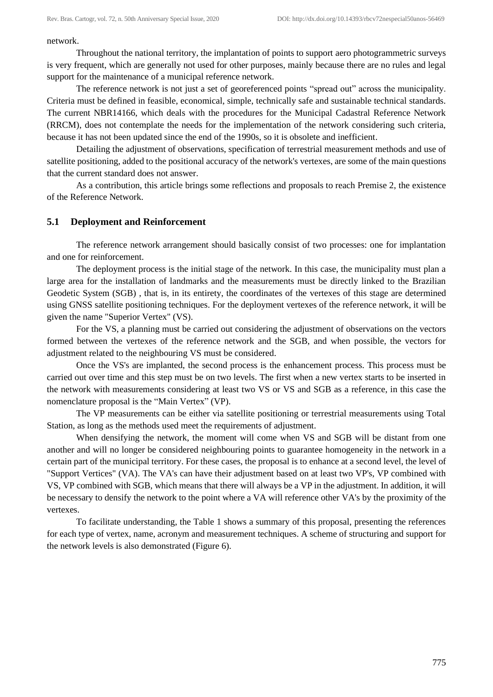network.

Throughout the national territory, the implantation of points to support aero photogrammetric surveys is very frequent, which are generally not used for other purposes, mainly because there are no rules and legal support for the maintenance of a municipal reference network.

The reference network is not just a set of georeferenced points "spread out" across the municipality. Criteria must be defined in feasible, economical, simple, technically safe and sustainable technical standards. The current NBR14166, which deals with the procedures for the Municipal Cadastral Reference Network (RRCM), does not contemplate the needs for the implementation of the network considering such criteria, because it has not been updated since the end of the 1990s, so it is obsolete and inefficient.

Detailing the adjustment of observations, specification of terrestrial measurement methods and use of satellite positioning, added to the positional accuracy of the network's vertexes, are some of the main questions that the current standard does not answer.

As a contribution, this article brings some reflections and proposals to reach Premise 2, the existence of the Reference Network.

#### **5.1 Deployment and Reinforcement**

The reference network arrangement should basically consist of two processes: one for implantation and one for reinforcement.

The deployment process is the initial stage of the network. In this case, the municipality must plan a large area for the installation of landmarks and the measurements must be directly linked to the Brazilian Geodetic System (SGB) , that is, in its entirety, the coordinates of the vertexes of this stage are determined using GNSS satellite positioning techniques. For the deployment vertexes of the reference network, it will be given the name "Superior Vertex" (VS).

For the VS, a planning must be carried out considering the adjustment of observations on the vectors formed between the vertexes of the reference network and the SGB, and when possible, the vectors for adjustment related to the neighbouring VS must be considered.

Once the VS's are implanted, the second process is the enhancement process. This process must be carried out over time and this step must be on two levels. The first when a new vertex starts to be inserted in the network with measurements considering at least two VS or VS and SGB as a reference, in this case the nomenclature proposal is the "Main Vertex" (VP).

The VP measurements can be either via satellite positioning or terrestrial measurements using Total Station, as long as the methods used meet the requirements of adjustment.

When densifying the network, the moment will come when VS and SGB will be distant from one another and will no longer be considered neighbouring points to guarantee homogeneity in the network in a certain part of the municipal territory. For these cases, the proposal is to enhance at a second level, the level of "Support Vertices" (VA). The VA's can have their adjustment based on at least two VP's, VP combined with VS, VP combined with SGB, which means that there will always be a VP in the adjustment. In addition, it will be necessary to densify the network to the point where a VA will reference other VA's by the proximity of the vertexes.

To facilitate understanding, the Table 1 shows a summary of this proposal, presenting the references for each type of vertex, name, acronym and measurement techniques. A scheme of structuring and support for the network levels is also demonstrated (Figure 6).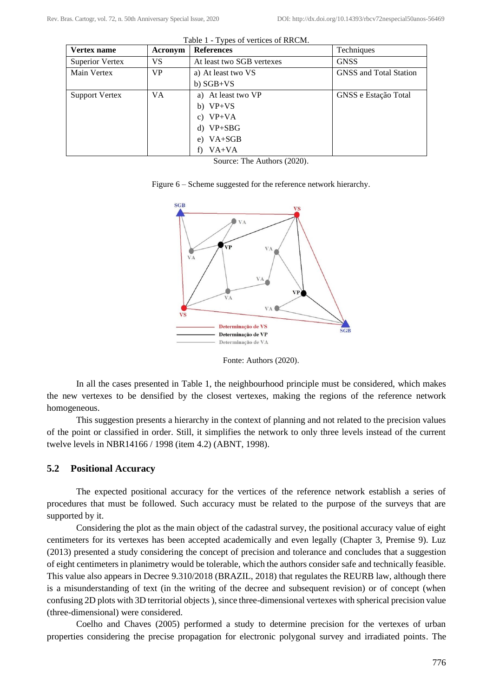| Vertex name            | Acronym   | <b>References</b>         | Techniques                    |
|------------------------|-----------|---------------------------|-------------------------------|
| <b>Superior Vertex</b> | VS        | At least two SGB vertexes | <b>GNSS</b>                   |
| Main Vertex            | <b>VP</b> | a) At least two VS        | <b>GNSS</b> and Total Station |
|                        |           | $b) SGB+VS$               |                               |
| <b>Support Vertex</b>  | <b>VA</b> | a) At least two VP        | GNSS e Estação Total          |
|                        |           | b) $VP+VS$                |                               |
|                        |           | c) $VP+VA$                |                               |
|                        |           | d) $VP+SBG$               |                               |
|                        |           | VA+SGB<br>e)              |                               |
|                        |           | VA+VA<br>f)               |                               |

Table 1 - Types of vertices of RRCM.

Source: The Authors (2020).





Fonte: Authors (2020).

In all the cases presented in Table 1, the neighbourhood principle must be considered, which makes the new vertexes to be densified by the closest vertexes, making the regions of the reference network homogeneous.

This suggestion presents a hierarchy in the context of planning and not related to the precision values of the point or classified in order. Still, it simplifies the network to only three levels instead of the current twelve levels in NBR14166 / 1998 (item 4.2) (ABNT, 1998).

### **5.2 Positional Accuracy**

The expected positional accuracy for the vertices of the reference network establish a series of procedures that must be followed. Such accuracy must be related to the purpose of the surveys that are supported by it.

Considering the plot as the main object of the cadastral survey, the positional accuracy value of eight centimeters for its vertexes has been accepted academically and even legally (Chapter 3, Premise 9). Luz (2013) presented a study considering the concept of precision and tolerance and concludes that a suggestion of eight centimeters in planimetry would be tolerable, which the authors consider safe and technically feasible. This value also appears in Decree 9.310/2018 (BRAZIL, 2018) that regulates the REURB law, although there is a misunderstanding of text (in the writing of the decree and subsequent revision) or of concept (when confusing 2D plots with 3D territorial objects ), since three-dimensional vertexes with spherical precision value (three-dimensional) were considered.

Coelho and Chaves (2005) performed a study to determine precision for the vertexes of urban properties considering the precise propagation for electronic polygonal survey and irradiated points. The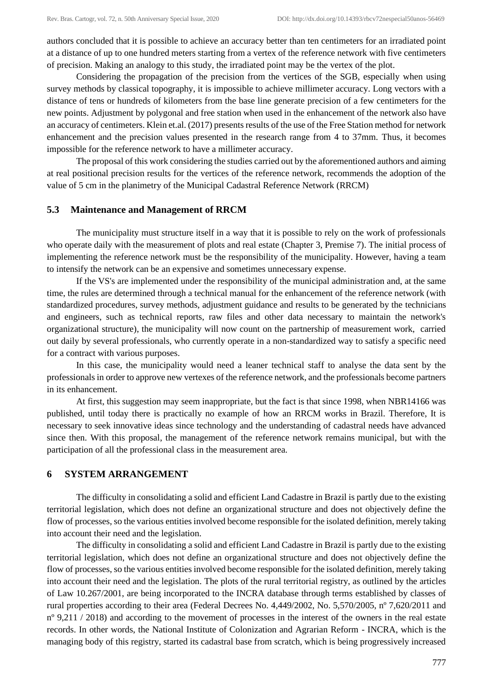authors concluded that it is possible to achieve an accuracy better than ten centimeters for an irradiated point at a distance of up to one hundred meters starting from a vertex of the reference network with five centimeters of precision. Making an analogy to this study, the irradiated point may be the vertex of the plot.

Considering the propagation of the precision from the vertices of the SGB, especially when using survey methods by classical topography, it is impossible to achieve millimeter accuracy. Long vectors with a distance of tens or hundreds of kilometers from the base line generate precision of a few centimeters for the new points. Adjustment by polygonal and free station when used in the enhancement of the network also have an accuracy of centimeters. Klein et.al. (2017) presents results of the use of the Free Station method for network enhancement and the precision values presented in the research range from 4 to 37mm. Thus, it becomes impossible for the reference network to have a millimeter accuracy.

The proposal of this work considering the studies carried out by the aforementioned authors and aiming at real positional precision results for the vertices of the reference network, recommends the adoption of the value of 5 cm in the planimetry of the Municipal Cadastral Reference Network (RRCM)

## **5.3 Maintenance and Management of RRCM**

The municipality must structure itself in a way that it is possible to rely on the work of professionals who operate daily with the measurement of plots and real estate (Chapter 3, Premise 7). The initial process of implementing the reference network must be the responsibility of the municipality. However, having a team to intensify the network can be an expensive and sometimes unnecessary expense.

If the VS's are implemented under the responsibility of the municipal administration and, at the same time, the rules are determined through a technical manual for the enhancement of the reference network (with standardized procedures, survey methods, adjustment guidance and results to be generated by the technicians and engineers, such as technical reports, raw files and other data necessary to maintain the network's organizational structure), the municipality will now count on the partnership of measurement work, carried out daily by several professionals, who currently operate in a non-standardized way to satisfy a specific need for a contract with various purposes.

In this case, the municipality would need a leaner technical staff to analyse the data sent by the professionals in order to approve new vertexes of the reference network, and the professionals become partners in its enhancement.

At first, this suggestion may seem inappropriate, but the fact is that since 1998, when NBR14166 was published, until today there is practically no example of how an RRCM works in Brazil. Therefore, It is necessary to seek innovative ideas since technology and the understanding of cadastral needs have advanced since then. With this proposal, the management of the reference network remains municipal, but with the participation of all the professional class in the measurement area.

#### **6 SYSTEM ARRANGEMENT**

The difficulty in consolidating a solid and efficient Land Cadastre in Brazil is partly due to the existing territorial legislation, which does not define an organizational structure and does not objectively define the flow of processes, so the various entities involved become responsible for the isolated definition, merely taking into account their need and the legislation.

The difficulty in consolidating a solid and efficient Land Cadastre in Brazil is partly due to the existing territorial legislation, which does not define an organizational structure and does not objectively define the flow of processes, so the various entities involved become responsible for the isolated definition, merely taking into account their need and the legislation. The plots of the rural territorial registry, as outlined by the articles of Law 10.267/2001, are being incorporated to the INCRA database through terms established by classes of rural properties according to their area (Federal Decrees No. 4,449/2002, No. 5,570/2005, nº 7,620/2011 and nº 9,211 / 2018) and according to the movement of processes in the interest of the owners in the real estate records. In other words, the National Institute of Colonization and Agrarian Reform - INCRA, which is the managing body of this registry, started its cadastral base from scratch, which is being progressively increased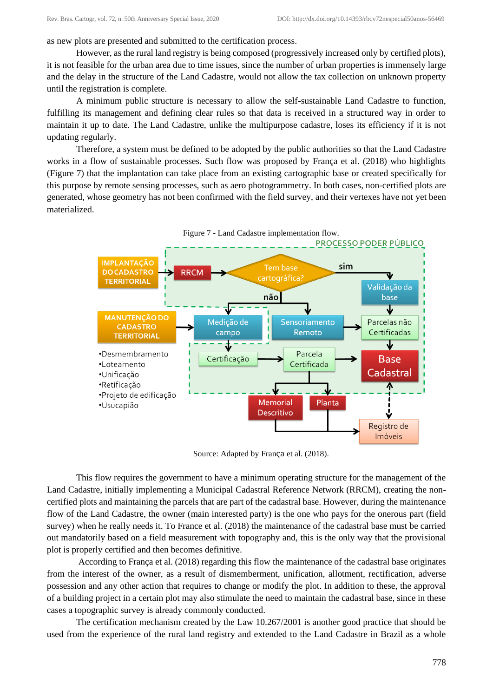as new plots are presented and submitted to the certification process.

However, as the rural land registry is being composed (progressively increased only by certified plots), it is not feasible for the urban area due to time issues, since the number of urban properties is immensely large and the delay in the structure of the Land Cadastre, would not allow the tax collection on unknown property until the registration is complete.

A minimum public structure is necessary to allow the self-sustainable Land Cadastre to function, fulfilling its management and defining clear rules so that data is received in a structured way in order to maintain it up to date. The Land Cadastre, unlike the multipurpose cadastre, loses its efficiency if it is not updating regularly.

Therefore, a system must be defined to be adopted by the public authorities so that the Land Cadastre works in a flow of sustainable processes. Such flow was proposed by França et al. (2018) who highlights (Figure 7) that the implantation can take place from an existing cartographic base or created specifically for this purpose by remote sensing processes, such as aero photogrammetry. In both cases, non-certified plots are generated, whose geometry has not been confirmed with the field survey, and their vertexes have not yet been materialized.





Source: Adapted by França et al. (2018).

This flow requires the government to have a minimum operating structure for the management of the Land Cadastre, initially implementing a Municipal Cadastral Reference Network (RRCM), creating the noncertified plots and maintaining the parcels that are part of the cadastral base. However, during the maintenance flow of the Land Cadastre, the owner (main interested party) is the one who pays for the onerous part (field survey) when he really needs it. To France et al. (2018) the maintenance of the cadastral base must be carried out mandatorily based on a field measurement with topography and, this is the only way that the provisional plot is properly certified and then becomes definitive.

According to França et al. (2018) regarding this flow the maintenance of the cadastral base originates from the interest of the owner, as a result of dismemberment, unification, allotment, rectification, adverse possession and any other action that requires to change or modify the plot. In addition to these, the approval of a building project in a certain plot may also stimulate the need to maintain the cadastral base, since in these cases a topographic survey is already commonly conducted.

The certification mechanism created by the Law 10.267/2001 is another good practice that should be used from the experience of the rural land registry and extended to the Land Cadastre in Brazil as a whole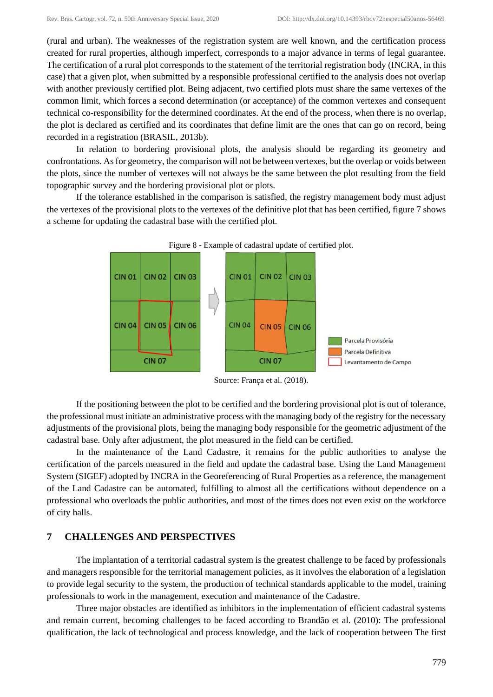(rural and urban). The weaknesses of the registration system are well known, and the certification process created for rural properties, although imperfect, corresponds to a major advance in terms of legal guarantee. The certification of a rural plot corresponds to the statement of the territorial registration body (INCRA, in this case) that a given plot, when submitted by a responsible professional certified to the analysis does not overlap with another previously certified plot. Being adjacent, two certified plots must share the same vertexes of the common limit, which forces a second determination (or acceptance) of the common vertexes and consequent technical co-responsibility for the determined coordinates. At the end of the process, when there is no overlap, the plot is declared as certified and its coordinates that define limit are the ones that can go on record, being recorded in a registration (BRASIL, 2013b).

In relation to bordering provisional plots, the analysis should be regarding its geometry and confrontations. As for geometry, the comparison will not be between vertexes, but the overlap or voids between the plots, since the number of vertexes will not always be the same between the plot resulting from the field topographic survey and the bordering provisional plot or plots.

If the tolerance established in the comparison is satisfied, the registry management body must adjust the vertexes of the provisional plots to the vertexes of the definitive plot that has been certified, figure 7 shows a scheme for updating the cadastral base with the certified plot.





Source: França et al. (2018).

If the positioning between the plot to be certified and the bordering provisional plot is out of tolerance, the professional must initiate an administrative process with the managing body of the registry for the necessary adjustments of the provisional plots, being the managing body responsible for the geometric adjustment of the cadastral base. Only after adjustment, the plot measured in the field can be certified.

In the maintenance of the Land Cadastre, it remains for the public authorities to analyse the certification of the parcels measured in the field and update the cadastral base. Using the Land Management System (SIGEF) adopted by INCRA in the Georeferencing of Rural Properties as a reference, the management of the Land Cadastre can be automated, fulfilling to almost all the certifications without dependence on a professional who overloads the public authorities, and most of the times does not even exist on the workforce of city halls.

#### **7 CHALLENGES AND PERSPECTIVES**

The implantation of a territorial cadastral system is the greatest challenge to be faced by professionals and managers responsible for the territorial management policies, as it involves the elaboration of a legislation to provide legal security to the system, the production of technical standards applicable to the model, training professionals to work in the management, execution and maintenance of the Cadastre.

Three major obstacles are identified as inhibitors in the implementation of efficient cadastral systems and remain current, becoming challenges to be faced according to Brandão et al. (2010): The professional qualification, the lack of technological and process knowledge, and the lack of cooperation between The first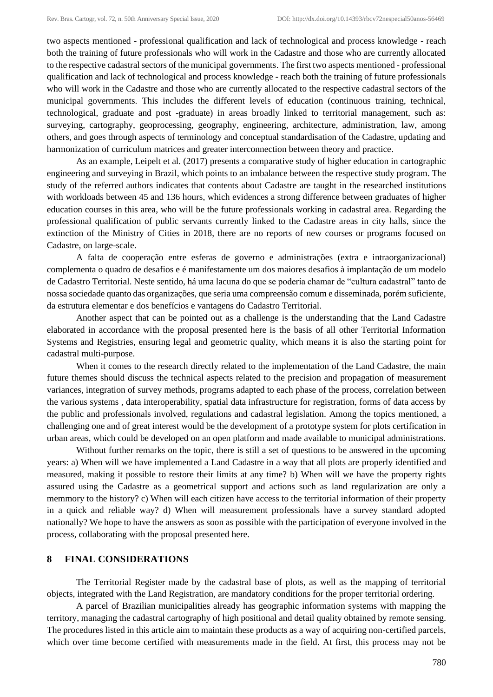two aspects mentioned - professional qualification and lack of technological and process knowledge - reach both the training of future professionals who will work in the Cadastre and those who are currently allocated to the respective cadastral sectors of the municipal governments. The first two aspects mentioned - professional qualification and lack of technological and process knowledge - reach both the training of future professionals who will work in the Cadastre and those who are currently allocated to the respective cadastral sectors of the municipal governments. This includes the different levels of education (continuous training, technical, technological, graduate and post -graduate) in areas broadly linked to territorial management, such as: surveying, cartography, geoprocessing, geography, engineering, architecture, administration, law, among others, and goes through aspects of terminology and conceptual standardisation of the Cadastre, updating and harmonization of curriculum matrices and greater interconnection between theory and practice.

As an example, Leipelt et al. (2017) presents a comparative study of higher education in cartographic engineering and surveying in Brazil, which points to an imbalance between the respective study program. The study of the referred authors indicates that contents about Cadastre are taught in the researched institutions with workloads between 45 and 136 hours, which evidences a strong difference between graduates of higher education courses in this area, who will be the future professionals working in cadastral area. Regarding the professional qualification of public servants currently linked to the Cadastre areas in city halls, since the extinction of the Ministry of Cities in 2018, there are no reports of new courses or programs focused on Cadastre, on large-scale.

A falta de cooperação entre esferas de governo e administrações (extra e intraorganizacional) complementa o quadro de desafios e é manifestamente um dos maiores desafios à implantação de um modelo de Cadastro Territorial. Neste sentido, há uma lacuna do que se poderia chamar de "cultura cadastral" tanto de nossa sociedade quanto das organizações, que seria uma compreensão comum e disseminada, porém suficiente, da estrutura elementar e dos benefícios e vantagens do Cadastro Territorial.

Another aspect that can be pointed out as a challenge is the understanding that the Land Cadastre elaborated in accordance with the proposal presented here is the basis of all other Territorial Information Systems and Registries, ensuring legal and geometric quality, which means it is also the starting point for cadastral multi-purpose.

When it comes to the research directly related to the implementation of the Land Cadastre, the main future themes should discuss the technical aspects related to the precision and propagation of measurement variances, integration of survey methods, programs adapted to each phase of the process, correlation between the various systems , data interoperability, spatial data infrastructure for registration, forms of data access by the public and professionals involved, regulations and cadastral legislation. Among the topics mentioned, a challenging one and of great interest would be the development of a prototype system for plots certification in urban areas, which could be developed on an open platform and made available to municipal administrations.

Without further remarks on the topic, there is still a set of questions to be answered in the upcoming years: a) When will we have implemented a Land Cadastre in a way that all plots are properly identified and measured, making it possible to restore their limits at any time? b) When will we have the property rights assured using the Cadastre as a geometrical support and actions such as land regularization are only a memmory to the history? c) When will each citizen have access to the territorial information of their property in a quick and reliable way? d) When will measurement professionals have a survey standard adopted nationally? We hope to have the answers as soon as possible with the participation of everyone involved in the process, collaborating with the proposal presented here.

## **8 FINAL CONSIDERATIONS**

The Territorial Register made by the cadastral base of plots, as well as the mapping of territorial objects, integrated with the Land Registration, are mandatory conditions for the proper territorial ordering.

A parcel of Brazilian municipalities already has geographic information systems with mapping the territory, managing the cadastral cartography of high positional and detail quality obtained by remote sensing. The procedures listed in this article aim to maintain these products as a way of acquiring non-certified parcels, which over time become certified with measurements made in the field. At first, this process may not be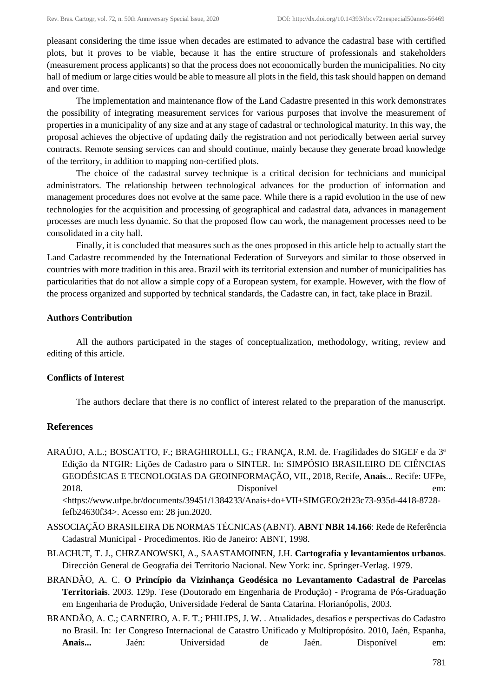pleasant considering the time issue when decades are estimated to advance the cadastral base with certified plots, but it proves to be viable, because it has the entire structure of professionals and stakeholders (measurement process applicants) so that the process does not economically burden the municipalities. No city hall of medium or large cities would be able to measure all plots in the field, this task should happen on demand and over time.

The implementation and maintenance flow of the Land Cadastre presented in this work demonstrates the possibility of integrating measurement services for various purposes that involve the measurement of properties in a municipality of any size and at any stage of cadastral or technological maturity. In this way, the proposal achieves the objective of updating daily the registration and not periodically between aerial survey contracts. Remote sensing services can and should continue, mainly because they generate broad knowledge of the territory, in addition to mapping non-certified plots.

The choice of the cadastral survey technique is a critical decision for technicians and municipal administrators. The relationship between technological advances for the production of information and management procedures does not evolve at the same pace. While there is a rapid evolution in the use of new technologies for the acquisition and processing of geographical and cadastral data, advances in management processes are much less dynamic. So that the proposed flow can work, the management processes need to be consolidated in a city hall.

Finally, it is concluded that measures such as the ones proposed in this article help to actually start the Land Cadastre recommended by the International Federation of Surveyors and similar to those observed in countries with more tradition in this area. Brazil with its territorial extension and number of municipalities has particularities that do not allow a simple copy of a European system, for example. However, with the flow of the process organized and supported by technical standards, the Cadastre can, in fact, take place in Brazil.

### **Authors Contribution**

All the authors participated in the stages of conceptualization, methodology, writing, review and editing of this article.

#### **Conflicts of Interest**

The authors declare that there is no conflict of interest related to the preparation of the manuscript.

## **References**

- ARAÚJO, A.L.; BOSCATTO, F.; BRAGHIROLLI, G.; FRANÇA, R.M. de. Fragilidades do SIGEF e da 3ª Edição da NTGIR: Lições de Cadastro para o SINTER. In: SIMPÓSIO BRASILEIRO DE CIÊNCIAS GEODÉSICAS E TECNOLOGIAS DA GEOINFORMAÇÃO, VII., 2018, Recife, **Anais**... Recife: UFPe, 2018. Disponível em: <https://www.ufpe.br/documents/39451/1384233/Anais+do+VII+SIMGEO/2ff23c73-935d-4418-8728 fefb24630f34>. Acesso em: 28 jun.2020.
- ASSOCIAÇÃO BRASILEIRA DE NORMAS TÉCNICAS (ABNT). **ABNT NBR 14.166**: Rede de Referência Cadastral Municipal - Procedimentos. Rio de Janeiro: ABNT, 1998.
- BLACHUT, T. J., CHRZANOWSKI, A., SAASTAMOINEN, J.H. **Cartografia y levantamientos urbanos**. Dirección General de Geografia dei Territorio Nacional. New York: inc. Springer-Verlag. 1979.
- BRANDÃO, A. C. **O Princípio da Vizinhança Geodésica no Levantamento Cadastral de Parcelas Territoriais**. 2003. 129p. Tese (Doutorado em Engenharia de Produção) - Programa de Pós-Graduação em Engenharia de Produção, Universidade Federal de Santa Catarina. Florianópolis, 2003.
- BRANDÃO, A. C.; CARNEIRO, A. F. T.; PHILIPS, J. W. . Atualidades, desafios e perspectivas do Cadastro no Brasil. In: 1er Congreso Internacional de Catastro Unificado y Multipropósito. 2010, Jaén, Espanha, **Anais...** Jaén: Universidad de Jaén. Disponível em: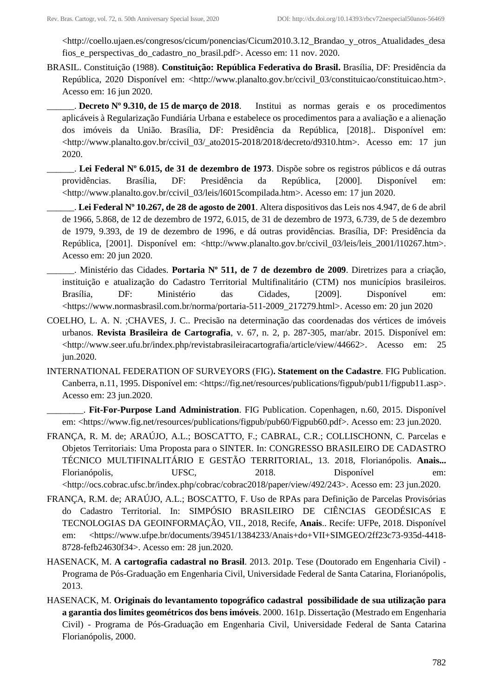<http://coello.ujaen.es/congresos/cicum/ponencias/Cicum2010.3.12\_Brandao\_y\_otros\_Atualidades\_desa fios\_e\_perspectivas\_do\_cadastro\_no\_brasil.pdf>. Acesso em: 11 nov. 2020.

BRASIL. Constituição (1988). **Constituição: República Federativa do Brasil.** Brasília, DF: Presidência da República, 2020 Disponível em: <http://www.planalto.gov.br/ccivil\_03/constituicao/constituicao.htm>. Acesso em: 16 jun 2020.

\_\_\_\_\_\_. **Decreto Nº 9.310, de 15 de março de 2018**. Institui as normas gerais e os procedimentos aplicáveis à Regularização Fundiária Urbana e estabelece os procedimentos para a avaliação e a alienação dos imóveis da União. Brasília, DF: Presidência da República, [2018].. Disponível em: <http://www.planalto.gov.br/ccivil\_03/\_ato2015-2018/2018/decreto/d9310.htm>. Acesso em: 17 jun 2020.

\_\_\_\_\_\_. **Lei Federal Nº 6.015, de 31 de dezembro de 1973**. Dispõe sobre os registros públicos e dá outras providências. Brasília, DF: Presidência da República, [2000]. Disponível em: <http://www.planalto.gov.br/ccivil\_03/leis/l6015compilada.htm>. Acesso em: 17 jun 2020.

\_\_\_\_\_\_. **Lei Federal Nº 10.267, de 28 de agosto de 2001**. Altera dispositivos das Leis nos 4.947, de 6 de abril de 1966, 5.868, de 12 de dezembro de 1972, 6.015, de 31 de dezembro de 1973, 6.739, de 5 de dezembro de 1979, 9.393, de 19 de dezembro de 1996, e dá outras providências. Brasília, DF: Presidência da República, [2001]. Disponível em: <http://www.planalto.gov.br/ccivil\_03/leis/leis\_2001/l10267.htm>. Acesso em: 20 jun 2020.

- \_\_\_\_\_\_. Ministério das Cidades. **Portaria Nº 511, de 7 de dezembro de 2009**. Diretrizes para a criação, instituição e atualização do Cadastro Territorial Multifinalitário (CTM) nos municípios brasileiros. Brasília, DF: Ministério das Cidades, [2009]. Disponível em: <https://www.normasbrasil.com.br/norma/portaria-511-2009\_217279.html>. Acesso em: 20 jun 2020
- COELHO, L. A. N. [;CHAVES, J. C..](http://lattes.cnpq.br/1054859802289261) Precisão na determinação das coordenadas dos vértices de imóveis urbanos. **Revista Brasileira de Cartografia**, v. 67, n. 2, p. 287-305, mar/abr. 2015. Disponível em: <http://www.seer.ufu.br/index.php/revistabrasileiracartografia/article/view/44662>. Acesso em: 25 jun.2020.
- INTERNATIONAL FEDERATION OF SURVEYORS (FIG)**. Statement on the Cadastre**. FIG Publication. Canberra, n.11, 1995. Disponível em: <https://fig.net/resources/publications/figpub/pub11/figpub11.asp>. Acesso em: 23 jun.2020.

\_\_\_\_\_\_\_\_. **Fit-For-Purpose Land Administration**. FIG Publication. Copenhagen, n.60, 2015. Disponível em: <https://www.fig.net/resources/publications/figpub/pub60/Figpub60.pdf>. Acesso em: 23 jun.2020.

- FRANÇA, R. M. de; ARAÚJO, A.L.; BOSCATTO, F.; CABRAL, C.R.; COLLISCHONN, C. Parcelas e Objetos Territoriais: Uma Proposta para o SINTER. In: CONGRESSO BRASILEIRO DE CADASTRO TÉCNICO MULTIFINALITÁRIO E GESTÃO TERRITORIAL, 13. 2018, Florianópolis. **Anais...** Florianópolis, UFSC, 2018. Disponível em: <http://ocs.cobrac.ufsc.br/index.php/cobrac/cobrac2018/paper/view/492/243>. Acesso em: 23 jun.2020.
- FRANÇA, R.M. de; ARAÚJO, A.L.; BOSCATTO, F. Uso de RPAs para Definição de Parcelas Provisórias do Cadastro Territorial. In: SIMPÓSIO BRASILEIRO DE CIÊNCIAS GEODÉSICAS E TECNOLOGIAS DA GEOINFORMAÇÃO, VII., 2018, Recife, **Anais**.. Recife: UFPe, 2018. Disponível em: <https://www.ufpe.br/documents/39451/1384233/Anais+do+VII+SIMGEO/2ff23c73-935d-4418- 8728-fefb24630f34>. Acesso em: 28 jun.2020.
- HASENACK, M. **A cartografia cadastral no Brasil**. 2013. 201p. Tese (Doutorado em Engenharia Civil) Programa de Pós-Graduação em Engenharia Civil, Universidade Federal de Santa Catarina, Florianópolis, 2013.
- HASENACK, M. **Originais do levantamento topográfico cadastral possibilidade de sua utilização para a garantia dos limites geométricos dos bens imóveis**. 2000. 161p. Dissertação (Mestrado em Engenharia Civil) - Programa de Pós-Graduação em Engenharia Civil, Universidade Federal de Santa Catarina Florianópolis, 2000.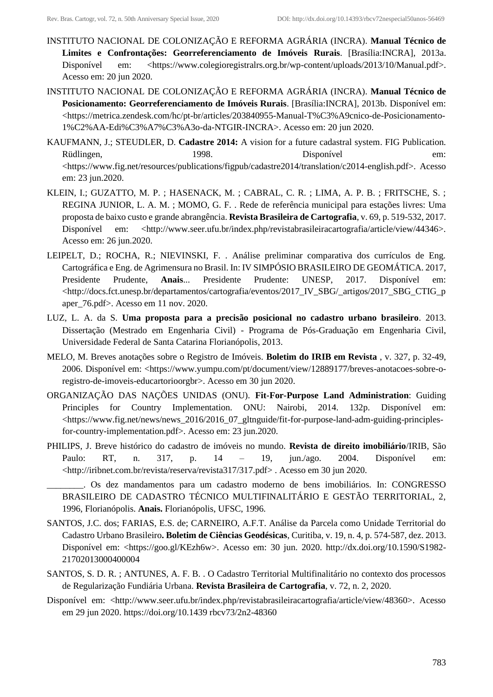- INSTITUTO NACIONAL DE COLONIZAÇÃO E REFORMA AGRÁRIA (INCRA). **Manual Técnico de Limites e Confrontações: Georreferenciamento de Imóveis Rurais**. [Brasília:INCRA], 2013a. Disponível em: <https://www.colegioregistralrs.org.br/wp-content/uploads/2013/10/Manual.pdf>. Acesso em: 20 jun 2020.
- INSTITUTO NACIONAL DE COLONIZAÇÃO E REFORMA AGRÁRIA (INCRA). **Manual Técnico de Posicionamento: Georreferenciamento de Imóveis Rurais**. [Brasília:INCRA], 2013b. Disponível em: <https://metrica.zendesk.com/hc/pt-br/articles/203840955-Manual-T%C3%A9cnico-de-Posicionamento-1%C2%AA-Edi%C3%A7%C3%A3o-da-NTGIR-INCRA>. Acesso em: 20 jun 2020.
- KAUFMANN, J.; STEUDLER, D. **Cadastre 2014:** A vision for a future cadastral system. FIG Publication. Rüdlingen, 1998. 1998. Disponível em: <https://www.fig.net/resources/publications/figpub/cadastre2014/translation/c2014-english.pdf>. Acesso em: 23 jun.2020.
- KLEIN, I.; GUZATTO, M. P. ; HASENACK, M. ; CABRAL, C. R. ; LIMA, A. P. B. ; FRITSCHE, S. ; REGINA JUNIOR, L. A. M. ; MOMO, G. F. . Rede de referência municipal para estações livres: Uma proposta de baixo custo e grande abrangência. **Revista Brasileira de Cartografia**, v. 69, p. 519-532, 2017. Disponível em: <http://www.seer.ufu.br/index.php/revistabrasileiracartografia/article/view/44346>. Acesso em: 26 jun.2020.
- LEIPELT, D.; ROCHA, R.; NIEVINSKI, F. . Análise preliminar comparativa dos currículos de Eng. Cartográfica e Eng. de Agrimensura no Brasil. In: IV SIMPÓSIO BRASILEIRO DE GEOMÁTICA. 2017, Presidente Prudente, **Anais**... Presidente Prudente: UNESP, 2017. Disponível em: <http://docs.fct.unesp.br/departamentos/cartografia/eventos/2017\_IV\_SBG/\_artigos/2017\_SBG\_CTIG\_p aper\_76.pdf>. Acesso em 11 nov. 2020.
- LUZ, L. A. da S. **Uma proposta para a precisão posicional no cadastro urbano brasileiro**. 2013. Dissertação (Mestrado em Engenharia Civil) - Programa de Pós-Graduação em Engenharia Civil, Universidade Federal de Santa Catarina Florianópolis, 2013.
- MELO, M. Breves anotações sobre o Registro de Imóveis. **Boletim do IRIB em Revista** , v. 327, p. 32-49, 2006. Disponível em: <https://www.yumpu.com/pt/document/view/12889177/breves-anotacoes-sobre-oregistro-de-imoveis-educartorioorgbr>. Acesso em 30 jun 2020.
- ORGANIZAÇÃO DAS NAÇÕES UNIDAS (ONU). **Fit-For-Purpose Land Administration**: Guiding Principles for Country Implementation. ONU: Nairobi, 2014. 132p. Disponível em: <https://www.fig.net/news/news\_2016/2016\_07\_gltnguide/fit-for-purpose-land-adm-guiding-principlesfor-country-implementation.pdf>. Acesso em: 23 jun.2020.
- PHILIPS, J. Breve histórico do cadastro de imóveis no mundo. **Revista de direito imobiliário**/IRIB, São Paulo: RT, n. 317, p. 14 – 19, jun./ago. 2004. Disponível em: <http://iribnet.com.br/revista/reserva/revista317/317.pdf> . Acesso em 30 jun 2020.

\_\_\_\_\_\_\_\_. Os dez mandamentos para um cadastro moderno de bens imobiliários. In: CONGRESSO BRASILEIRO DE CADASTRO TÉCNICO MULTIFINALITÁRIO E GESTÃO TERRITORIAL, 2, 1996, Florianópolis. **Anais.** Florianópolis, UFSC, 1996.

- SANTOS, J.C. dos; FARIAS, E.S. de; CARNEIRO, A.F.T. Análise da Parcela como Unidade Territorial do Cadastro Urbano Brasileiro**. Boletim de Ciências Geodésicas**, Curitiba, v. 19, n. 4, p. 574-587, dez. 2013. Disponível em: <https://goo.gl/KEzh6w>. Acesso em: 30 jun. 2020. http://dx.doi.org/10.1590/S1982- 21702013000400004
- SANTOS, S. D. R. ; ANTUNES, A. F. B. . O Cadastro Territorial Multifinalitário no contexto dos processos de Regularização Fundiária Urbana. **Revista Brasileira de Cartografia**, v. 72, n. 2, 2020.
- Disponível em: <http://www.seer.ufu.br/index.php/revistabrasileiracartografia/article/view/48360>. Acesso em 29 jun 2020. https://doi.org/10.1439 rbcv73/2n2-48360